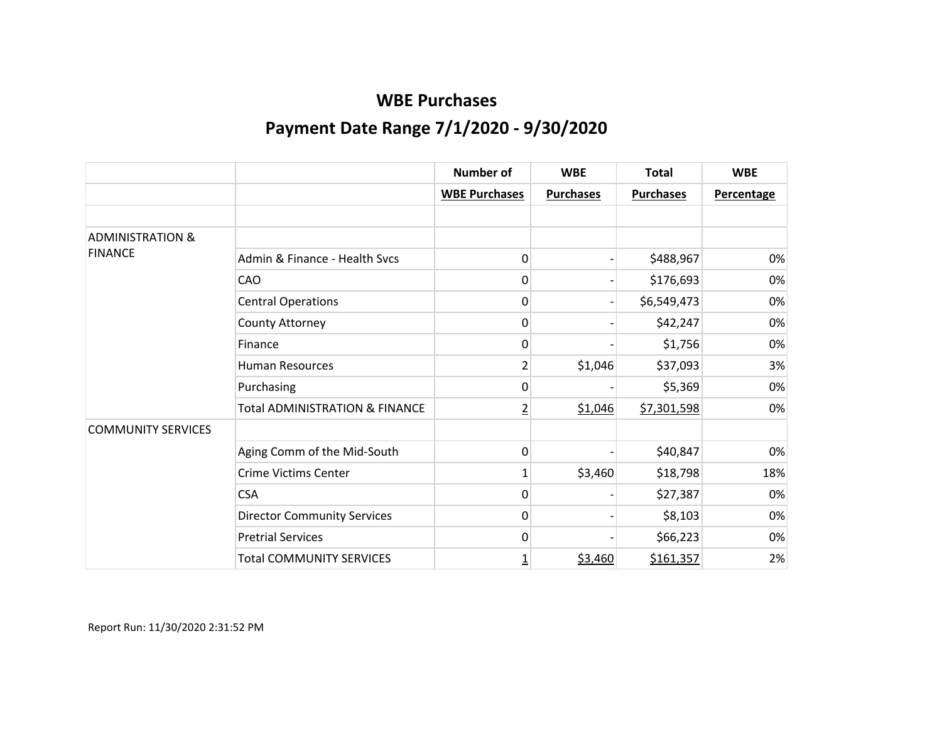|                             |                                           | <b>Number of</b>     | <b>WBE</b>       | <b>Total</b>     | <b>WBE</b>        |
|-----------------------------|-------------------------------------------|----------------------|------------------|------------------|-------------------|
|                             |                                           | <b>WBE Purchases</b> | <b>Purchases</b> | <b>Purchases</b> | <b>Percentage</b> |
|                             |                                           |                      |                  |                  |                   |
| <b>ADMINISTRATION &amp;</b> |                                           |                      |                  |                  |                   |
| <b>FINANCE</b>              | Admin & Finance - Health Svcs             | 0                    |                  | \$488,967        | 0%                |
|                             | CAO                                       | 0                    |                  | \$176,693        | 0%                |
|                             | <b>Central Operations</b>                 | 0                    |                  | \$6,549,473      | 0%                |
|                             | County Attorney                           | 0                    |                  | \$42,247         | 0%                |
|                             | Finance                                   | 0                    |                  | \$1,756          | 0%                |
|                             | <b>Human Resources</b>                    | 2                    | \$1,046          | \$37,093         | 3%                |
|                             | Purchasing                                | 0                    |                  | \$5,369          | 0%                |
|                             | <b>Total ADMINISTRATION &amp; FINANCE</b> | $\overline{2}$       | \$1,046          | \$7,301,598      | 0%                |
| <b>COMMUNITY SERVICES</b>   |                                           |                      |                  |                  |                   |
|                             | Aging Comm of the Mid-South               | 0                    |                  | \$40,847         | 0%                |
|                             | <b>Crime Victims Center</b>               | 1                    | \$3,460          | \$18,798         | 18%               |
|                             | <b>CSA</b>                                | 0                    |                  | \$27,387         | 0%                |
|                             | <b>Director Community Services</b>        | 0                    |                  | \$8,103          | 0%                |
|                             | <b>Pretrial Services</b>                  | 0                    |                  | \$66,223         | 0%                |
|                             | <b>Total COMMUNITY SERVICES</b>           | $\overline{1}$       | \$3,460          | \$161,357        | 2%                |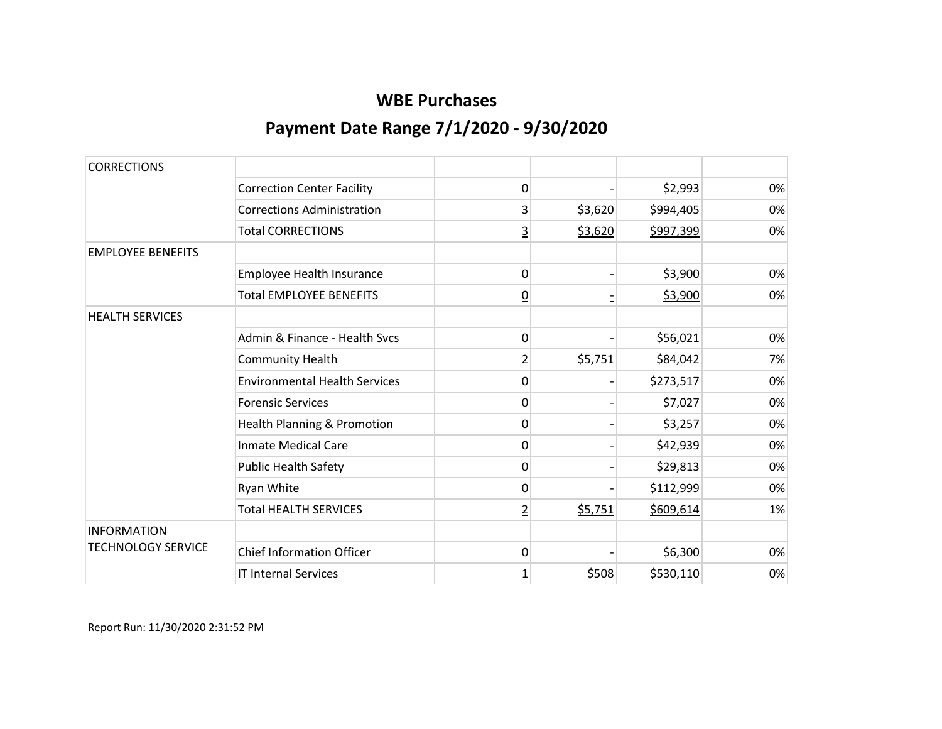| <b>CORRECTIONS</b>        |                                      |                |         |           |    |
|---------------------------|--------------------------------------|----------------|---------|-----------|----|
|                           | <b>Correction Center Facility</b>    | 0              |         | \$2,993   | 0% |
|                           | <b>Corrections Administration</b>    | 3              | \$3,620 | \$994,405 | 0% |
|                           | <b>Total CORRECTIONS</b>             | 3              | \$3,620 | \$997,399 | 0% |
| <b>EMPLOYEE BENEFITS</b>  |                                      |                |         |           |    |
|                           | Employee Health Insurance            | 0              |         | \$3,900   | 0% |
|                           | <b>Total EMPLOYEE BENEFITS</b>       | $\overline{0}$ |         | \$3,900   | 0% |
| <b>HEALTH SERVICES</b>    |                                      |                |         |           |    |
|                           | Admin & Finance - Health Sycs        | 0              |         | \$56,021  | 0% |
|                           | <b>Community Health</b>              | 2              | \$5,751 | \$84,042  | 7% |
|                           | <b>Environmental Health Services</b> | 0              |         | \$273,517 | 0% |
|                           | <b>Forensic Services</b>             | $\mathbf{0}$   |         | \$7,027   | 0% |
|                           | Health Planning & Promotion          | 0              |         | \$3,257   | 0% |
|                           | <b>Inmate Medical Care</b>           | 0              |         | \$42,939  | 0% |
|                           | <b>Public Health Safety</b>          | 0              |         | \$29,813  | 0% |
|                           | Ryan White                           | 0              |         | \$112,999 | 0% |
|                           | <b>Total HEALTH SERVICES</b>         | $\overline{2}$ | \$5,751 | \$609,614 | 1% |
| <b>INFORMATION</b>        |                                      |                |         |           |    |
| <b>TECHNOLOGY SERVICE</b> | <b>Chief Information Officer</b>     | $\mathbf{0}$   |         | \$6,300   | 0% |
|                           | <b>IT Internal Services</b>          | 1              | \$508   | \$530,110 | 0% |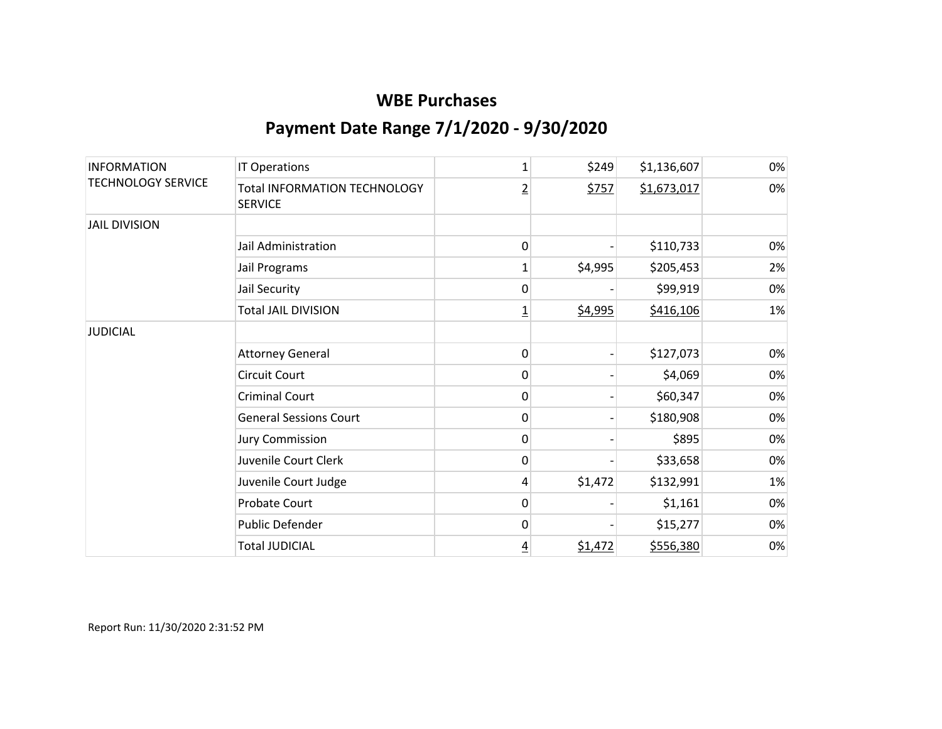| <b>INFORMATION</b><br><b>TECHNOLOGY SERVICE</b> | IT Operations                                         | 1              | \$249   | \$1,136,607 | 0% |
|-------------------------------------------------|-------------------------------------------------------|----------------|---------|-------------|----|
|                                                 | <b>Total INFORMATION TECHNOLOGY</b><br><b>SERVICE</b> | $\overline{2}$ | \$757   | \$1,673,017 | 0% |
| <b>JAIL DIVISION</b>                            |                                                       |                |         |             |    |
|                                                 | Jail Administration                                   | 0              |         | \$110,733   | 0% |
|                                                 | Jail Programs                                         | $\mathbf{1}$   | \$4,995 | \$205,453   | 2% |
|                                                 | Jail Security                                         | 0              |         | \$99,919    | 0% |
|                                                 | <b>Total JAIL DIVISION</b>                            | $\overline{1}$ | \$4,995 | \$416,106   | 1% |
| <b>JUDICIAL</b>                                 |                                                       |                |         |             |    |
|                                                 | <b>Attorney General</b>                               | 0              |         | \$127,073   | 0% |
|                                                 | <b>Circuit Court</b>                                  | 0              |         | \$4,069     | 0% |
|                                                 | <b>Criminal Court</b>                                 | 0              |         | \$60,347    | 0% |
|                                                 | <b>General Sessions Court</b>                         | 0              |         | \$180,908   | 0% |
|                                                 | <b>Jury Commission</b>                                | 0              |         | \$895       | 0% |
|                                                 | Juvenile Court Clerk                                  | 0              |         | \$33,658    | 0% |
|                                                 | Juvenile Court Judge                                  | 4              | \$1,472 | \$132,991   | 1% |
|                                                 | Probate Court                                         | 0              |         | \$1,161     | 0% |
|                                                 | Public Defender                                       | 0              |         | \$15,277    | 0% |
|                                                 | <b>Total JUDICIAL</b>                                 | $\overline{4}$ | \$1,472 | \$556,380   | 0% |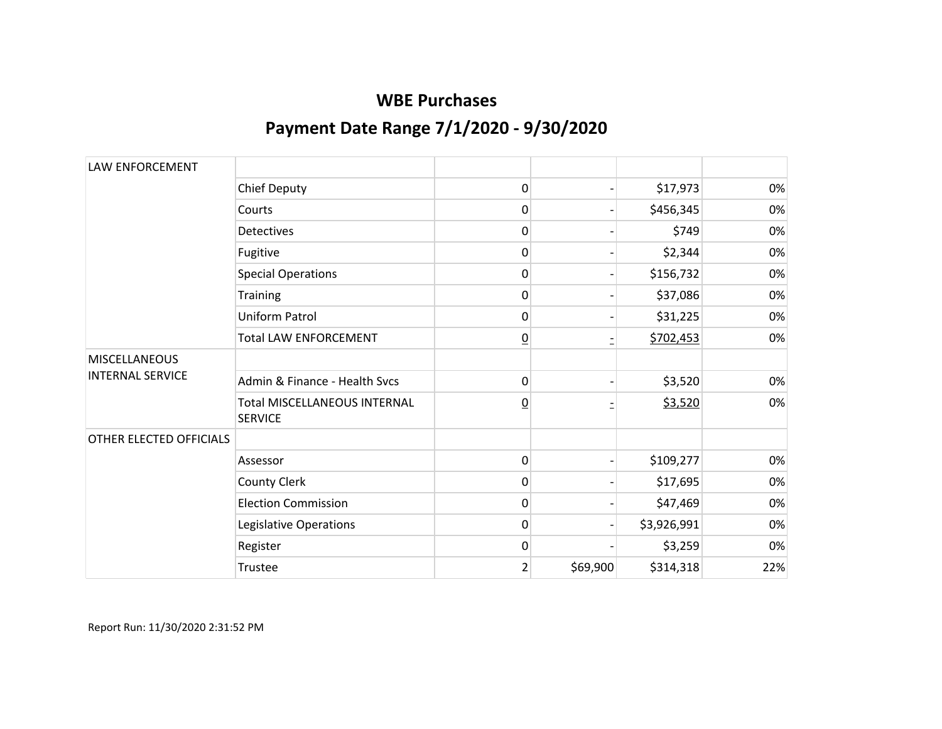| LAW ENFORCEMENT         |                                                       |                 |          |             |     |
|-------------------------|-------------------------------------------------------|-----------------|----------|-------------|-----|
|                         | <b>Chief Deputy</b>                                   | 0               |          | \$17,973    | 0%  |
|                         | Courts                                                | 0               |          | \$456,345   | 0%  |
|                         | <b>Detectives</b>                                     | 0               |          | \$749       | 0%  |
|                         | Fugitive                                              | 0               |          | \$2,344     | 0%  |
|                         | <b>Special Operations</b>                             | 0               |          | \$156,732   | 0%  |
|                         | <b>Training</b>                                       | 0               |          | \$37,086    | 0%  |
|                         | Uniform Patrol                                        | 0               |          | \$31,225    | 0%  |
|                         | <b>Total LAW ENFORCEMENT</b>                          | <u>0</u>        |          | \$702,453   | 0%  |
| <b>MISCELLANEOUS</b>    |                                                       |                 |          |             |     |
| <b>INTERNAL SERVICE</b> | Admin & Finance - Health Sycs                         | $\mathbf 0$     |          | \$3,520     | 0%  |
|                         | <b>Total MISCELLANEOUS INTERNAL</b><br><b>SERVICE</b> | $\underline{0}$ |          | \$3,520     | 0%  |
| OTHER ELECTED OFFICIALS |                                                       |                 |          |             |     |
|                         | Assessor                                              | 0               |          | \$109,277   | 0%  |
|                         | County Clerk                                          | 0               |          | \$17,695    | 0%  |
|                         | <b>Election Commission</b>                            | 0               |          | \$47,469    | 0%  |
|                         | Legislative Operations                                | 0               |          | \$3,926,991 | 0%  |
|                         | Register                                              | 0               |          | \$3,259     | 0%  |
|                         | Trustee                                               | $\overline{2}$  | \$69,900 | \$314,318   | 22% |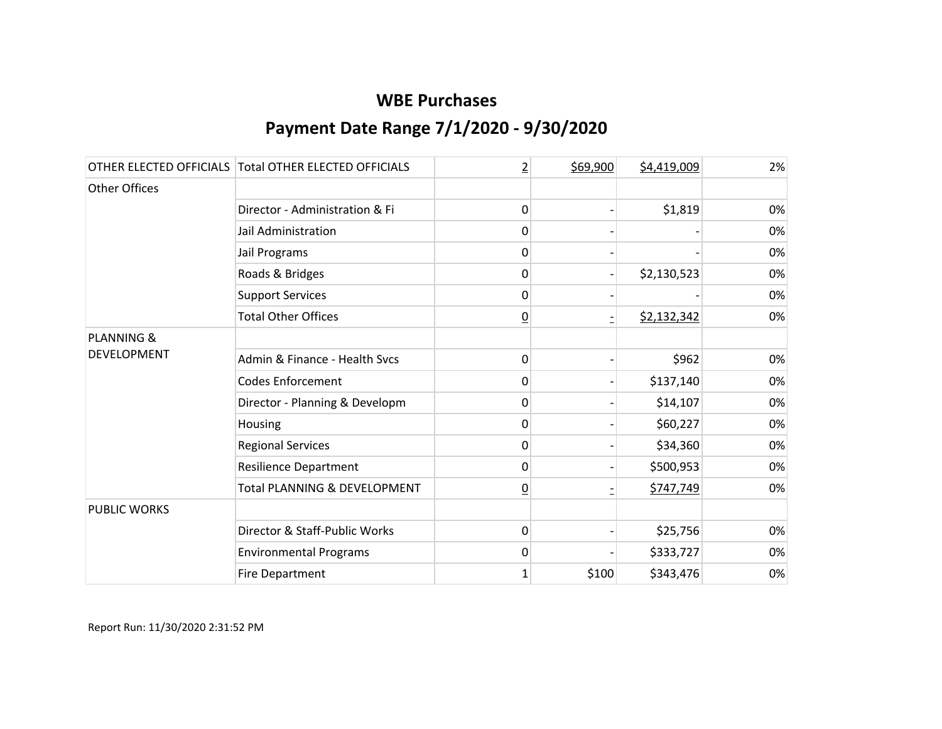|                       | OTHER ELECTED OFFICIALS Total OTHER ELECTED OFFICIALS | $\overline{2}$  | \$69,900 | \$4,419,009 | 2% |
|-----------------------|-------------------------------------------------------|-----------------|----------|-------------|----|
| Other Offices         |                                                       |                 |          |             |    |
|                       | Director - Administration & Fi                        | 0               |          | \$1,819     | 0% |
|                       | Jail Administration                                   | $\mathbf{0}$    |          |             | 0% |
|                       | Jail Programs                                         | 0               |          |             | 0% |
|                       | Roads & Bridges                                       | 0               |          | \$2,130,523 | 0% |
|                       | <b>Support Services</b>                               | 0               |          |             | 0% |
|                       | <b>Total Other Offices</b>                            | $\underline{0}$ |          | \$2,132,342 | 0% |
| <b>PLANNING &amp;</b> |                                                       |                 |          |             |    |
| <b>DEVELOPMENT</b>    | Admin & Finance - Health Svcs                         | 0               |          | \$962       | 0% |
|                       | <b>Codes Enforcement</b>                              | 0               |          | \$137,140   | 0% |
|                       | Director - Planning & Developm                        | 0               |          | \$14,107    | 0% |
|                       | Housing                                               | 0               |          | \$60,227    | 0% |
|                       | <b>Regional Services</b>                              | 0               |          | \$34,360    | 0% |
|                       | <b>Resilience Department</b>                          | 0               |          | \$500,953   | 0% |
|                       | Total PLANNING & DEVELOPMENT                          | $\underline{0}$ |          | \$747,749   | 0% |
| <b>PUBLIC WORKS</b>   |                                                       |                 |          |             |    |
|                       | Director & Staff-Public Works                         | 0               |          | \$25,756    | 0% |
|                       | <b>Environmental Programs</b>                         | 0               |          | \$333,727   | 0% |
|                       | <b>Fire Department</b>                                | 1               | \$100    | \$343,476   | 0% |